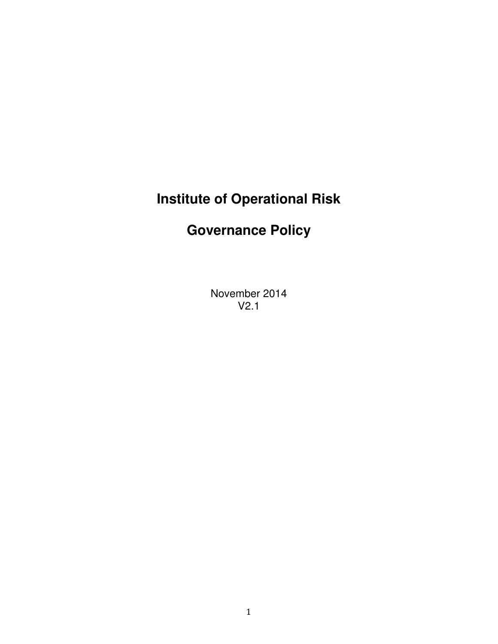# **Institute of Operational Risk**

# **Governance Policy**

November 2014 V2.1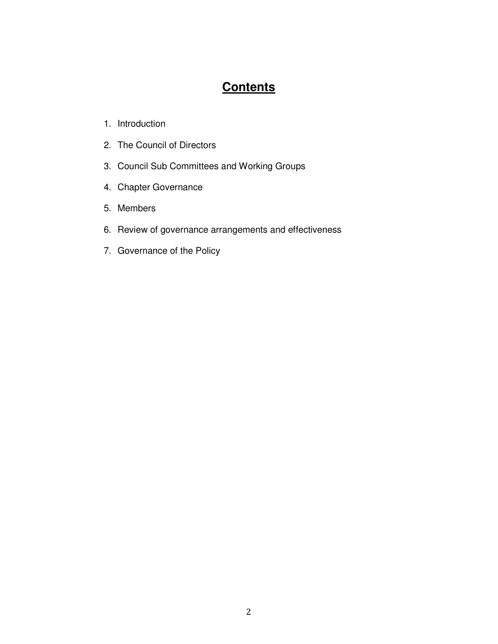# **Contents**

- 1. Introduction
- 2. The Council of Directors
- 3. Council Sub Committees and Working Groups
- 4. Chapter Governance
- 5. Members
- 6. Review of governance arrangements and effectiveness
- 7. Governance of the Policy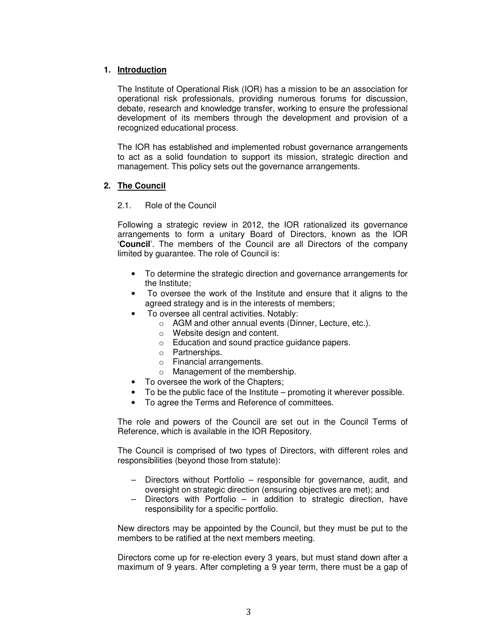# **1. Introduction**

The Institute of Operational Risk (IOR) has a mission to be an association for operational risk professionals, providing numerous forums for discussion, debate, research and knowledge transfer, working to ensure the professional development of its members through the development and provision of a recognized educational process.

The IOR has established and implemented robust governance arrangements to act as a solid foundation to support its mission, strategic direction and management. This policy sets out the governance arrangements.

# **2. The Council**

# 2.1. Role of the Council

Following a strategic review in 2012, the IOR rationalized its governance arrangements to form a unitary Board of Directors, known as the IOR '**Council**'. The members of the Council are all Directors of the company limited by guarantee. The role of Council is:

- To determine the strategic direction and governance arrangements for the Institute;
- To oversee the work of the Institute and ensure that it aligns to the agreed strategy and is in the interests of members;
- To oversee all central activities. Notably:
	- o AGM and other annual events (Dinner, Lecture, etc.).
	- o Website design and content.
	- o Education and sound practice guidance papers.
	- o Partnerships.
	- o Financial arrangements.
	- o Management of the membership.
- To oversee the work of the Chapters:
- To be the public face of the Institute promoting it wherever possible.
- To agree the Terms and Reference of committees.

The role and powers of the Council are set out in the Council Terms of Reference, which is available in the IOR Repository.

The Council is comprised of two types of Directors, with different roles and responsibilities (beyond those from statute):

- Directors without Portfolio responsible for governance, audit, and oversight on strategic direction (ensuring objectives are met); and
- Directors with Portfolio in addition to strategic direction, have responsibility for a specific portfolio.

New directors may be appointed by the Council, but they must be put to the members to be ratified at the next members meeting.

Directors come up for re-election every 3 years, but must stand down after a maximum of 9 years. After completing a 9 year term, there must be a gap of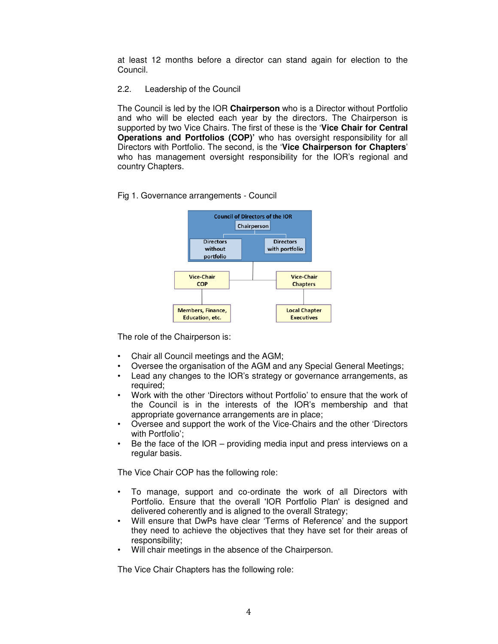at least 12 months before a director can stand again for election to the Council.

#### 2.2. Leadership of the Council

The Council is led by the IOR **Chairperson** who is a Director without Portfolio and who will be elected each year by the directors. The Chairperson is supported by two Vice Chairs. The first of these is the '**Vice Chair for Central Operations and Portfolios (COP)'** who has oversight responsibility for all Directors with Portfolio. The second, is the '**Vice Chairperson for Chapters**' who has management oversight responsibility for the IOR's regional and country Chapters.

#### Fig 1. Governance arrangements - Council



The role of the Chairperson is:

- Chair all Council meetings and the AGM;
- Oversee the organisation of the AGM and any Special General Meetings;
- Lead any changes to the IOR's strategy or governance arrangements, as required;
- Work with the other 'Directors without Portfolio' to ensure that the work of the Council is in the interests of the IOR's membership and that appropriate governance arrangements are in place;
- Oversee and support the work of the Vice-Chairs and the other 'Directors with Portfolio';
- Be the face of the  $IOR providing media input and press interviews on a$ regular basis.

The Vice Chair COP has the following role:

- To manage, support and co-ordinate the work of all Directors with Portfolio. Ensure that the overall 'IOR Portfolio Plan' is designed and delivered coherently and is aligned to the overall Strategy;
- Will ensure that DwPs have clear 'Terms of Reference' and the support they need to achieve the objectives that they have set for their areas of responsibility;
- Will chair meetings in the absence of the Chairperson.

The Vice Chair Chapters has the following role: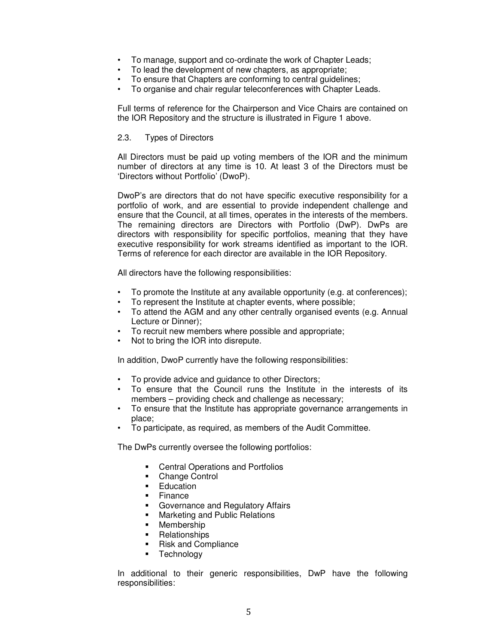- To manage, support and co-ordinate the work of Chapter Leads;
- To lead the development of new chapters, as appropriate;
- To ensure that Chapters are conforming to central guidelines;
- To organise and chair regular teleconferences with Chapter Leads.

Full terms of reference for the Chairperson and Vice Chairs are contained on the IOR Repository and the structure is illustrated in Figure 1 above.

#### 2.3. Types of Directors

All Directors must be paid up voting members of the IOR and the minimum number of directors at any time is 10. At least 3 of the Directors must be 'Directors without Portfolio' (DwoP).

DwoP's are directors that do not have specific executive responsibility for a portfolio of work, and are essential to provide independent challenge and ensure that the Council, at all times, operates in the interests of the members. The remaining directors are Directors with Portfolio (DwP). DwPs are directors with responsibility for specific portfolios, meaning that they have executive responsibility for work streams identified as important to the IOR. Terms of reference for each director are available in the IOR Repository.

All directors have the following responsibilities:

- To promote the Institute at any available opportunity (e.g. at conferences);
- To represent the Institute at chapter events, where possible;
- To attend the AGM and any other centrally organised events (e.g. Annual Lecture or Dinner);
- To recruit new members where possible and appropriate;
- Not to bring the IOR into disrepute.

In addition, DwoP currently have the following responsibilities:

- To provide advice and guidance to other Directors;
- To ensure that the Council runs the Institute in the interests of its members – providing check and challenge as necessary;
- To ensure that the Institute has appropriate governance arrangements in place;
- To participate, as required, as members of the Audit Committee.

The DwPs currently oversee the following portfolios:

- Central Operations and Portfolios
- Change Control
- **Education**
- $\blacksquare$  Finance
- **Governance and Regulatory Affairs**
- Marketing and Public Relations
- Membership
- **Relationships**
- Risk and Compliance
- **Technology**

In additional to their generic responsibilities, DwP have the following responsibilities: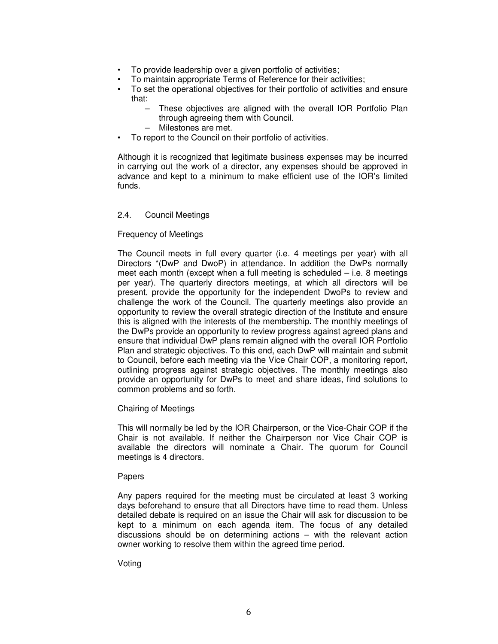- To provide leadership over a given portfolio of activities;
- To maintain appropriate Terms of Reference for their activities;
- To set the operational objectives for their portfolio of activities and ensure that:
	- These objectives are aligned with the overall IOR Portfolio Plan through agreeing them with Council.
	- Milestones are met.
- To report to the Council on their portfolio of activities.

Although it is recognized that legitimate business expenses may be incurred in carrying out the work of a director, any expenses should be approved in advance and kept to a minimum to make efficient use of the IOR's limited funds.

#### 2.4. Council Meetings

#### Frequency of Meetings

The Council meets in full every quarter (i.e. 4 meetings per year) with all Directors \*(DwP and DwoP) in attendance. In addition the DwPs normally meet each month (except when a full meeting is scheduled – i.e. 8 meetings per year). The quarterly directors meetings, at which all directors will be present, provide the opportunity for the independent DwoPs to review and challenge the work of the Council. The quarterly meetings also provide an opportunity to review the overall strategic direction of the Institute and ensure this is aligned with the interests of the membership. The monthly meetings of the DwPs provide an opportunity to review progress against agreed plans and ensure that individual DwP plans remain aligned with the overall IOR Portfolio Plan and strategic objectives. To this end, each DwP will maintain and submit to Council, before each meeting via the Vice Chair COP, a monitoring report, outlining progress against strategic objectives. The monthly meetings also provide an opportunity for DwPs to meet and share ideas, find solutions to common problems and so forth.

#### Chairing of Meetings

This will normally be led by the IOR Chairperson, or the Vice-Chair COP if the Chair is not available. If neither the Chairperson nor Vice Chair COP is available the directors will nominate a Chair. The quorum for Council meetings is 4 directors.

#### Papers

Any papers required for the meeting must be circulated at least 3 working days beforehand to ensure that all Directors have time to read them. Unless detailed debate is required on an issue the Chair will ask for discussion to be kept to a minimum on each agenda item. The focus of any detailed discussions should be on determining actions – with the relevant action owner working to resolve them within the agreed time period.

#### Voting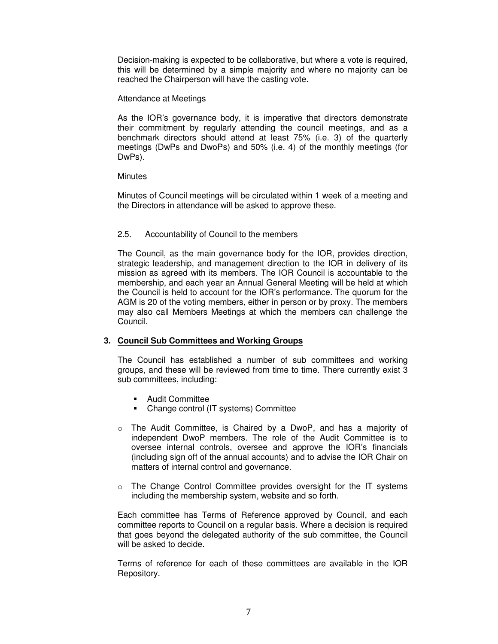Decision-making is expected to be collaborative, but where a vote is required, this will be determined by a simple majority and where no majority can be reached the Chairperson will have the casting vote.

#### Attendance at Meetings

As the IOR's governance body, it is imperative that directors demonstrate their commitment by regularly attending the council meetings, and as a benchmark directors should attend at least 75% (i.e. 3) of the quarterly meetings (DwPs and DwoPs) and 50% (i.e. 4) of the monthly meetings (for DwPs).

#### **Minutes**

Minutes of Council meetings will be circulated within 1 week of a meeting and the Directors in attendance will be asked to approve these.

# 2.5. Accountability of Council to the members

The Council, as the main governance body for the IOR, provides direction, strategic leadership, and management direction to the IOR in delivery of its mission as agreed with its members. The IOR Council is accountable to the membership, and each year an Annual General Meeting will be held at which the Council is held to account for the IOR's performance. The quorum for the AGM is 20 of the voting members, either in person or by proxy. The members may also call Members Meetings at which the members can challenge the Council.

# **3. Council Sub Committees and Working Groups**

The Council has established a number of sub committees and working groups, and these will be reviewed from time to time. There currently exist 3 sub committees, including:

- **Audit Committee**
- Change control (IT systems) Committee
- $\circ$  The Audit Committee, is Chaired by a DwoP, and has a majority of independent DwoP members. The role of the Audit Committee is to oversee internal controls, oversee and approve the IOR's financials (including sign off of the annual accounts) and to advise the IOR Chair on matters of internal control and governance.
- o The Change Control Committee provides oversight for the IT systems including the membership system, website and so forth.

Each committee has Terms of Reference approved by Council, and each committee reports to Council on a regular basis. Where a decision is required that goes beyond the delegated authority of the sub committee, the Council will be asked to decide.

Terms of reference for each of these committees are available in the IOR Repository.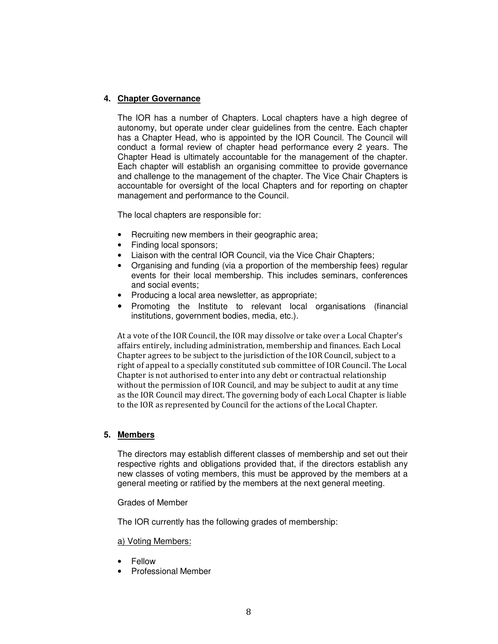# **4. Chapter Governance**

The IOR has a number of Chapters. Local chapters have a high degree of autonomy, but operate under clear guidelines from the centre. Each chapter has a Chapter Head, who is appointed by the IOR Council. The Council will conduct a formal review of chapter head performance every 2 years. The Chapter Head is ultimately accountable for the management of the chapter. Each chapter will establish an organising committee to provide governance and challenge to the management of the chapter. The Vice Chair Chapters is accountable for oversight of the local Chapters and for reporting on chapter management and performance to the Council.

The local chapters are responsible for:

- Recruiting new members in their geographic area;
- Finding local sponsors;
- Liaison with the central IOR Council, via the Vice Chair Chapters;
- Organising and funding (via a proportion of the membership fees) regular events for their local membership. This includes seminars, conferences and social events;
- Producing a local area newsletter, as appropriate;
- Promoting the Institute to relevant local organisations (financial institutions, government bodies, media, etc.).

At a vote of the IOR Council, the IOR may dissolve or take over a Local Chapter's affairs entirely, including administration, membership and finances. Each Local Chapter agrees to be subject to the jurisdiction of the IOR Council, subject to a right of appeal to a specially constituted sub committee of IOR Council. The Local Chapter is not authorised to enter into any debt or contractual relationship without the permission of IOR Council, and may be subject to audit at any time as the IOR Council may direct. The governing body of each Local Chapter is liable to the IOR as represented by Council for the actions of the Local Chapter.

#### **5. Members**

The directors may establish different classes of membership and set out their respective rights and obligations provided that, if the directors establish any new classes of voting members, this must be approved by the members at a general meeting or ratified by the members at the next general meeting.

Grades of Member

The IOR currently has the following grades of membership:

#### a) Voting Members:

- Fellow
- Professional Member